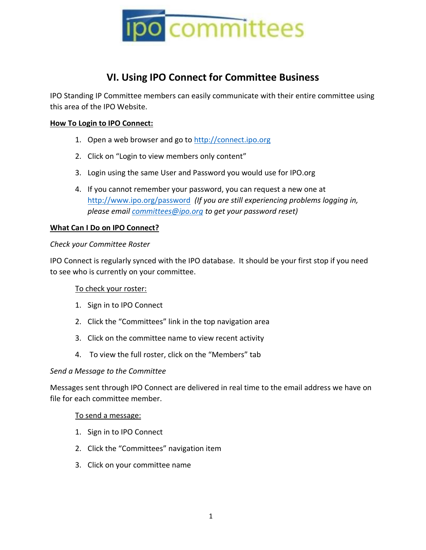

# **VI. Using IPO Connect for Committee Business**

IPO Standing IP Committee members can easily communicate with their entire committee using this area of the IPO Website.

# **How To Login to IPO Connect:**

- 1. Open a web browser and go to [http://connect.ipo.org](http://connect.ipo.org/)
- 2. Click on "Login to view members only content"
- 3. Login using the same User and Password you would use for IPO.org
- 4. If you cannot remember your password, you can request a new one at <http://www.ipo.org/password> *(If you are still experiencing problems logging in, please email [committees](mailto:webmaster@ipo.org)@ipo.org to get your password reset)*

## **What Can I Do on IPO Connect?**

## *Check your Committee Roster*

IPO Connect is regularly synced with the IPO database. It should be your first stop if you need to see who is currently on your committee.

## To check your roster:

- 1. Sign in to IPO Connect
- 2. Click the "Committees" link in the top navigation area
- 3. Click on the committee name to view recent activity
- 4. To view the full roster, click on the "Members" tab

## *Send a Message to the Committee*

Messages sent through IPO Connect are delivered in real time to the email address we have on file for each committee member.

## To send a message:

- 1. Sign in to IPO Connect
- 2. Click the "Committees" navigation item
- 3. Click on your committee name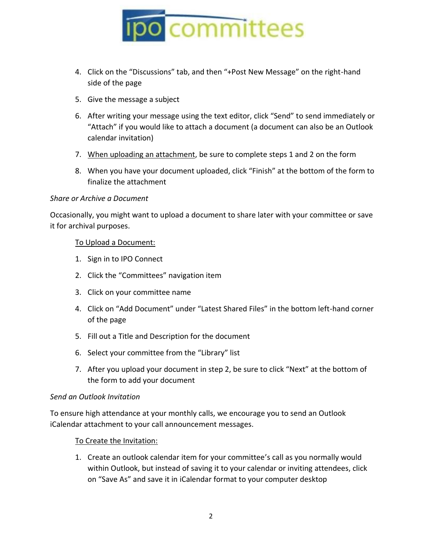

- 4. Click on the "Discussions" tab, and then "+Post New Message" on the right-hand side of the page
- 5. Give the message a subject
- 6. After writing your message using the text editor, click "Send" to send immediately or "Attach" if you would like to attach a document (a document can also be an Outlook calendar invitation)
- 7. When uploading an attachment, be sure to complete steps 1 and 2 on the form
- 8. When you have your document uploaded, click "Finish" at the bottom of the form to finalize the attachment

#### *Share or Archive a Document*

Occasionally, you might want to upload a document to share later with your committee or save it for archival purposes.

#### To Upload a Document:

- 1. Sign in to IPO Connect
- 2. Click the "Committees" navigation item
- 3. Click on your committee name
- 4. Click on "Add Document" under "Latest Shared Files" in the bottom left-hand corner of the page
- 5. Fill out a Title and Description for the document
- 6. Select your committee from the "Library" list
- 7. After you upload your document in step 2, be sure to click "Next" at the bottom of the form to add your document

## *Send an Outlook Invitation*

To ensure high attendance at your monthly calls, we encourage you to send an Outlook iCalendar attachment to your call announcement messages.

## To Create the Invitation:

1. Create an outlook calendar item for your committee's call as you normally would within Outlook, but instead of saving it to your calendar or inviting attendees, click on "Save As" and save it in iCalendar format to your computer desktop